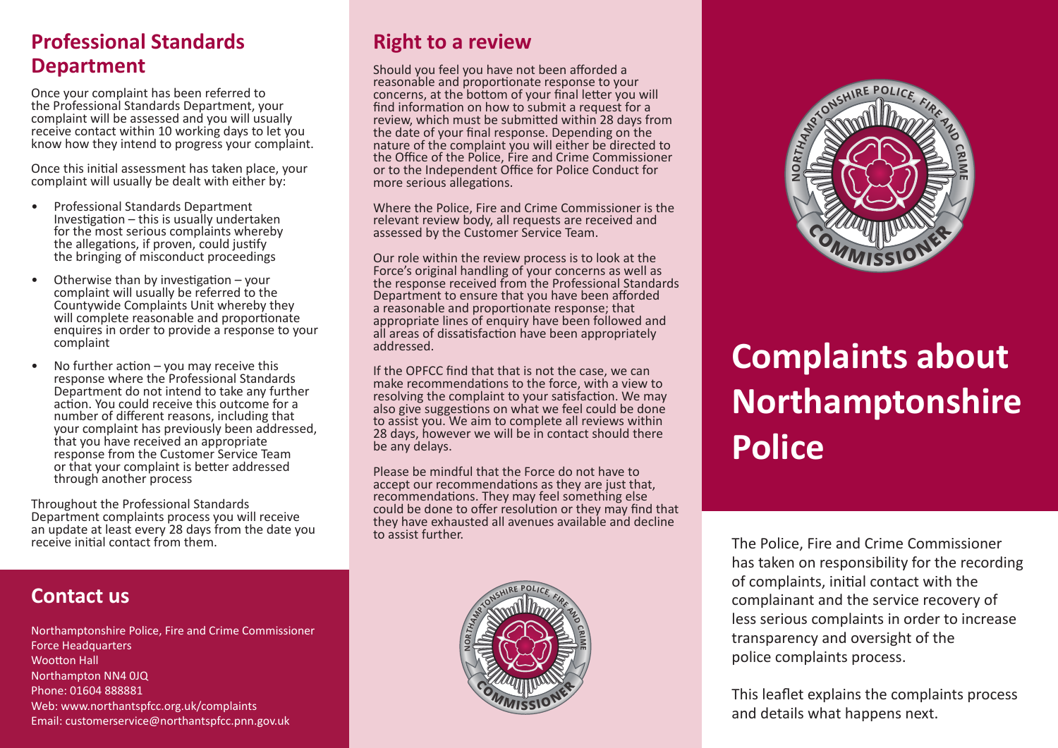## **Professional Standards Department**

Once your complaint has been referred to the Professional Standards Department, your complaint will be assessed and you will usually receive contact within 10 working days to let you know how they intend to progress your complaint.

Once this initial assessment has taken place, your complaint will usually be dealt with either by:

- Professional Standards Department<br>Investigation this is usually undertaken<br>for the most serious complaints whereby the allegations, if proven, could justify the bringing of misconduct proceedings
- Otherwise than by investigation  $-$  your complaint will usually be referred to the Countywide Complaints Unit whereby they will complete reasonable and proportionate enquires in order to provide a response to your complaint
- No further action  $-$  you may receive this response where the Professional Standards Department do not intend to take any further action. You could receive this outcome for a number of different reasons, including that your complaint has previously been addressed, that you have received an appropriate response from the Customer Service Team or that your complaint is better addressed through another process

Throughout the Professional Standards Department complaints process you will receive an update at least every 28 days from the date you receive initial contact from them.

## **Contact us**

Northamptonshire Police, Fire and Crime Commissioner Force Headquarters Wootton Hall Northampton NN4 0JQ Phone: 01604 888881 Web: www.northantspfcc.org.uk/complaints Email: customerservice@northantspfcc.pnn.gov.uk

## **Right to a review**

Should you feel you have not been afforded a reasonable and proportionate response to your concerns, at the bottom of your final letter you will find information on how to submit a request for a review, which must be submitted within 28 days from the date of your final response. Depending on the nature of the complaint you will either be directed to the Office of the Police, Fire and Crime Commissioner or to the Independent Office for Police Conduct for more serious allegations.

Where the Police, Fire and Crime Commissioner is the relevant review body, all requests are received and assessed by the Customer Service Team.

Our role within the review process is to look at the Force's original handling of your concerns as well as the response received from the Professional Standards Department to ensure that you have been afforded a reasonable and proportionate response; that appropriate lines of enquiry have been followed and all areas of dissatisfaction have been appropriately addressed.

If the OPFCC find that that is not the case, we can make recommendations to the force, with a view to resolving the complaint to your satisfaction. We may also give suggestions on what we feel could be done to assist you. We aim to complete all reviews within 28 days, however we will be in contact should there be any delays.

Please be mindful that the Force do not have to accept our recommendations as they are just that, recommendations. They may feel something else could be done to offer resolution or they may find that they have exhausted all avenues available and decline to assist further.





# **Complaints about Northamptonshire Police**

The Police, Fire and Crime Commissioner has taken on responsibility for the recording of complaints, initial contact with the complainant and the service recovery of less serious complaints in order to increase transparency and oversight of the police complaints process.

This leaflet explains the complaints process and details what happens next.